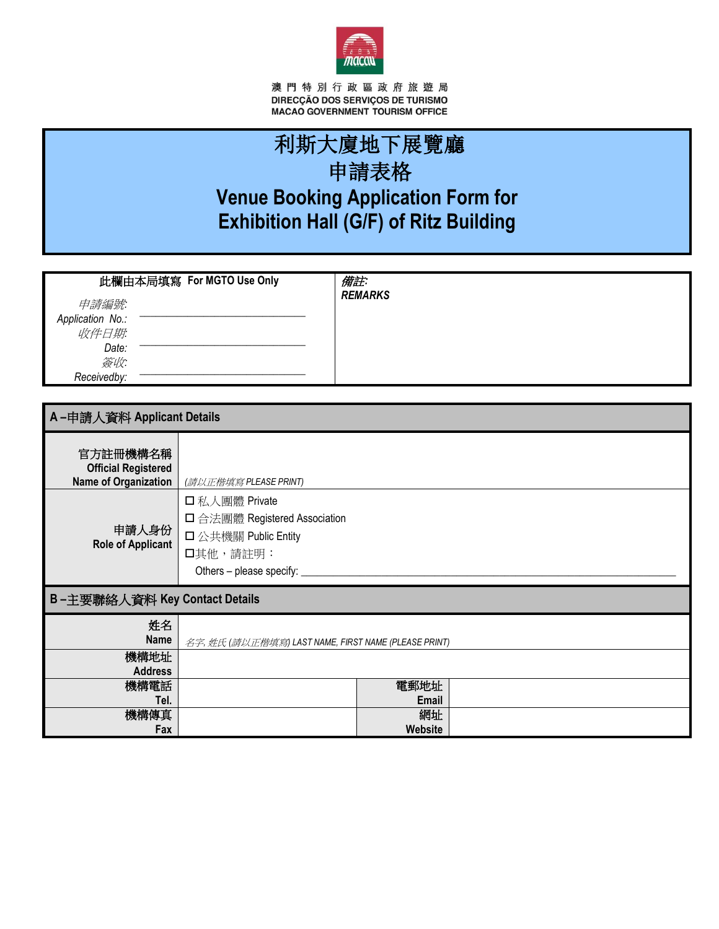

澳 門 特 別 行 政 區 政 府 旅 遊 局<br>DIRECÇÃO DOS SERVIÇOS DE TURISMO<br>MACAO GOVERNMENT TOURISM OFFICE

# 利斯大廈地下展覽廳 申請表格 **Venue Booking Application Form for Exhibition Hall (G/F) of Ritz Building**

| 此欄由本局填寫 For MGTO Use Only                                        | 備註:            |  |
|------------------------------------------------------------------|----------------|--|
| 申請編號:<br>Application No.:<br>收件日期<br>Date:<br>簽收:<br>Receivedby: | <b>REMARKS</b> |  |

| A-申請人資料 Applicant Details                                             |                                                                                                               |                      |  |  |
|-----------------------------------------------------------------------|---------------------------------------------------------------------------------------------------------------|----------------------|--|--|
| 官方註冊機構名稱<br><b>Official Registered</b><br><b>Name of Organization</b> | (請以正楷填寫 PLEASE PRINT)                                                                                         |                      |  |  |
| 申請人身份<br>Role of Applicant                                            | 口私人團體 Private<br>□ 合法團體 Registered Association<br>口公共機關 Public Entity<br>口其他,請註明:<br>Others - please specify: |                      |  |  |
| B-主要聯絡人資料 Key Contact Details                                         |                                                                                                               |                      |  |  |
| 姓名<br><b>Name</b>                                                     | 名字, 姓氏 (請以正楷填寫) LAST NAME, FIRST NAME (PLEASE PRINT)                                                          |                      |  |  |
| 機構地址<br><b>Address</b>                                                |                                                                                                               |                      |  |  |
| 機構電話<br>Tel.                                                          |                                                                                                               | 電郵地址<br><b>Email</b> |  |  |
| 機構傳真<br>Fax                                                           |                                                                                                               | 網址<br>Website        |  |  |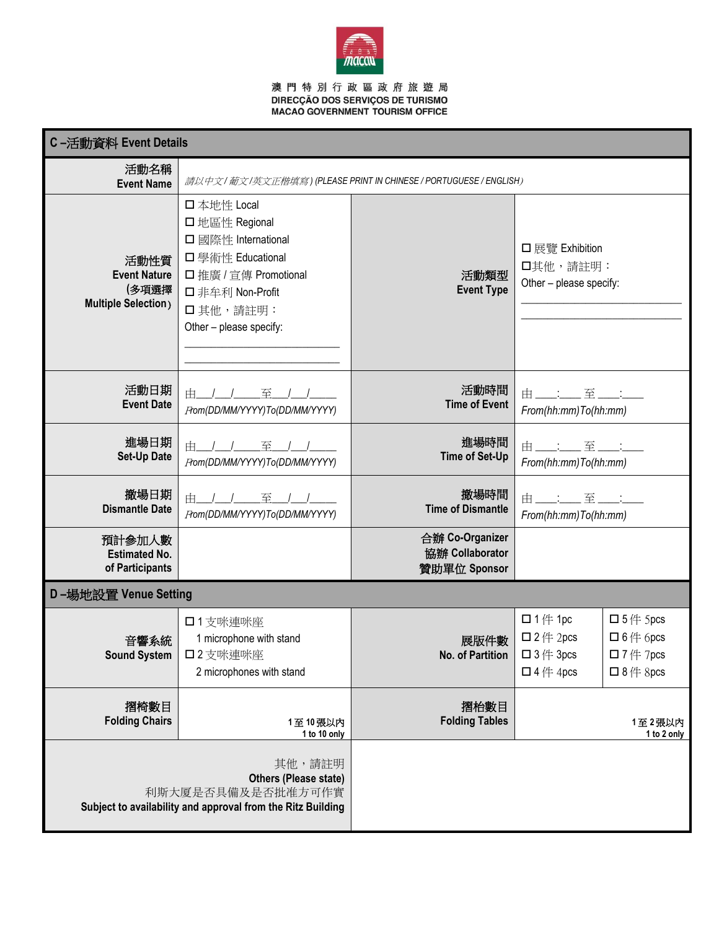

# 澳 門 特 別 行 政 區 政 府 旅 遊 局<br>DIRECÇÃO DOS SERVIÇOS DE TURISMO<br>MACAO GOVERNMENT TOURISM OFFICE

| C-活動資料 Event Details                                                                                                |                                                                                                                                                              |                                                    |                                                                                                                                |                                                                                      |
|---------------------------------------------------------------------------------------------------------------------|--------------------------------------------------------------------------------------------------------------------------------------------------------------|----------------------------------------------------|--------------------------------------------------------------------------------------------------------------------------------|--------------------------------------------------------------------------------------|
| 活動名稱<br><b>Event Name</b>                                                                                           | 請以中文/ 葡文/英文正楷填寫) (PLEASE PRINT IN CHINESE / PORTUGUESE / ENGLISH)                                                                                            |                                                    |                                                                                                                                |                                                                                      |
| 活動性質<br><b>Event Nature</b><br>(多項選擇<br><b>Multiple Selection</b> )                                                 | 口本地性 Local<br>□ 地區性 Regional<br>□ 國際性 International<br>□ 學術性 Educational<br>□ 推廣 / 宣傳 Promotional<br>□ 非牟利 Non-Profit<br>口其他,請註明:<br>Other - please specify: | 活動類型<br><b>Event Type</b>                          | □展覽 Exhibition<br>口其他,請註明:<br>Other - please specify:                                                                          |                                                                                      |
| 活動日期<br><b>Event Date</b>                                                                                           | 至<br>由<br>From(DD/MM/YYYY)To(DD/MM/YYYY)                                                                                                                     | 活動時間<br><b>Time of Event</b>                       | 由主军主<br>From(hh:mm)To(hh:mm)                                                                                                   |                                                                                      |
| 進場日期<br><b>Set-Up Date</b>                                                                                          | 由 / / 至<br>From(DD/MM/YYYY)To(DD/MM/YYYY)                                                                                                                    | 進場時間<br><b>Time of Set-Up</b>                      | 由___: 至__:<br>From(hh:mm)To(hh:mm)                                                                                             |                                                                                      |
| 撤場日期<br><b>Dismantle Date</b>                                                                                       | 至<br>由 / /<br>From(DD/MM/YYYY)To(DD/MM/YYYY)                                                                                                                 | 撤場時間<br><b>Time of Dismantle</b>                   | 由___:__至_<br>From(hh:mm)To(hh:mm)                                                                                              |                                                                                      |
| 預計參加人數<br><b>Estimated No.</b><br>of Participants                                                                   |                                                                                                                                                              | 合辦 Co-Organizer<br>協辦 Collaborator<br>贊助單位 Sponsor |                                                                                                                                |                                                                                      |
| D-場地設置 Venue Setting                                                                                                |                                                                                                                                                              |                                                    |                                                                                                                                |                                                                                      |
| 音響系統<br><b>Sound System</b>                                                                                         | □1支咪連咪座<br>1 microphone with stand<br>□2支咪連咪座<br>2 microphones with stand                                                                                    | 展版件數<br>No. of Partition                           | $\Box$ 1 <sup><math>#</math></sup> 1 pc<br>$\Box$ 2 <sup><math>#</math></sup> 2 pcs<br>$\Box$ 3 $\#$ 3pcs<br>$\Box$ 4 $#$ 4pcs | $\Box$ 5 (# 5 pcs<br>$\Box$ 6 (# 6 pcs<br>$\square$ 7 (# 7pcs<br>$\Box$ 8 $\#$ 8 pcs |
| 摺椅數目<br><b>Folding Chairs</b>                                                                                       | 1至10張以内<br>1 to 10 only                                                                                                                                      | 摺枱數目<br><b>Folding Tables</b>                      |                                                                                                                                | 1至2張以内<br>1 to 2 only                                                                |
| 其他,請註明<br>Others (Please state)<br>利斯大厦是否具備及是否批准方可作實<br>Subject to availability and approval from the Ritz Building |                                                                                                                                                              |                                                    |                                                                                                                                |                                                                                      |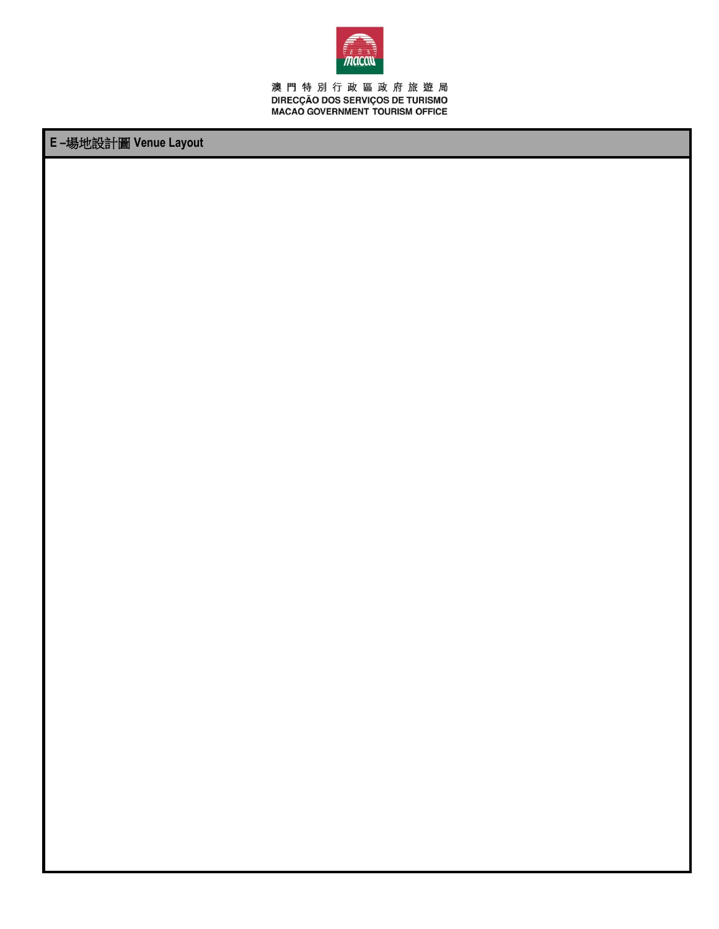

澳 門 特 別 行 政 區 政 府 旅 遊 局<br>DIRECÇÃO DOS SERVIÇOS DE TURISMO<br>MACAO GOVERNMENT TOURISM OFFICE

## E-場地設計圖 Venue Layout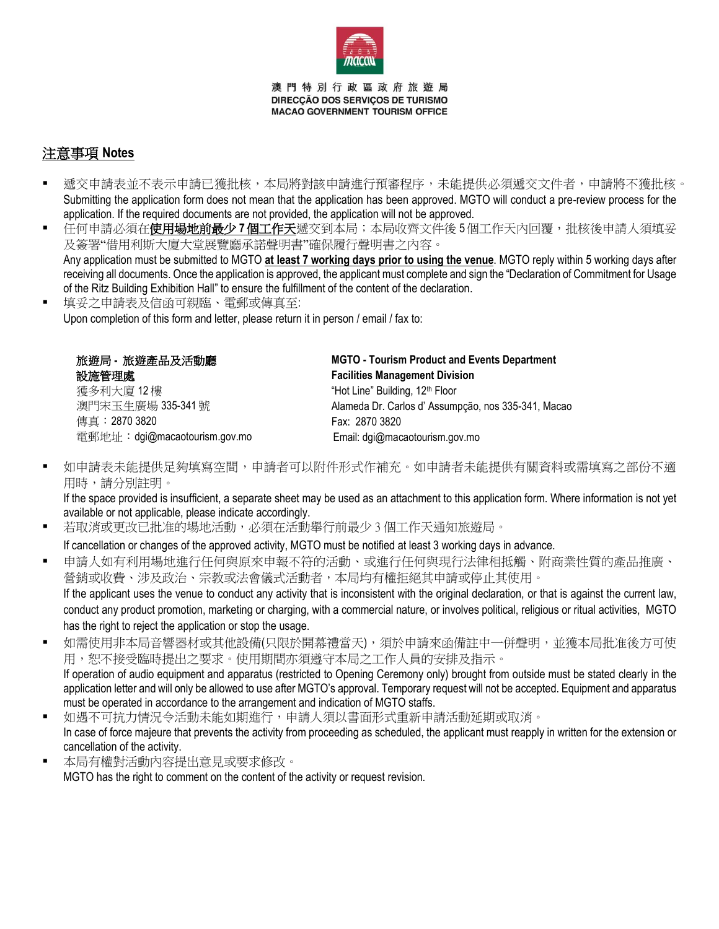

澳門特別行政區政府旅遊局 DIRECCÃO DOS SERVICOS DE TURISMO **MACAO GOVERNMENT TOURISM OFFICE** 

### 注意事項 **Notes**

- 遞交申請表並不表示申請已獲批核,本局將對該申請進行預審程序,未能提供必須遞交文件者,申請將不獲批核。 Submitting the application form does not mean that the application has been approved. MGTO will conduct a pre-review process for the application. If the required documents are not provided, the application will not be approved.
- 任何申請必須在**使用場地前最少 7 個工作天**遞交到本局;本局收齊文件後 5 個工作天內回覆,批核後申請人須填妥 及簽署"借用利斯大廈大堂展覽廳承諾聲明書"確保履行聲明書之內容。 Any application must be submitted to MGTO **at least 7 working days prior to using the venue**. MGTO reply within 5 working days after receiving all documents. Once the application is approved, the applicant must complete and sign the "Declaration of Commitment for Usage of the Ritz Building Exhibition Hall" to ensure the fulfillment of the content of the declaration.
- 填妥之申請表及信函可親臨、電郵或傳真至: Upon completion of this form and letter, please return it in person / email / fax to:

| 旅遊局 - 旅遊產品及活動廳                | <b>MGTO - Tourism Product and Events Department</b> |
|-------------------------------|-----------------------------------------------------|
| 設施管理處                         | <b>Facilities Management Division</b>               |
| 獲多利大廈 12樓                     | "Hot Line" Building, 12 <sup>th</sup> Floor         |
| 澳門宋玉牛廣場 335-341號              | Alameda Dr. Carlos d'Assumpção, nos 335-341, Macao  |
| 傳真:2870 3820                  | Fax: 2870 3820                                      |
| 電郵地址: dgi@macaotourism.gov.mo | Email: dgi@macaotourism.gov.mo                      |
|                               |                                                     |

▪ 如申請表未能提供足夠填寫空間,申請者可以附件形式作補充。如申請者未能提供有關資料或需填寫之部份不適 用時,請分別註明。

If the space provided is insufficient, a separate sheet may be used as an attachment to this application form. Where information is not yet available or not applicable, please indicate accordingly.

若取消或更改已批准的場地活動,必須在活動舉行前最少 3 個工作天通知旅遊局。

If cancellation or changes of the approved activity, MGTO must be notified at least 3 working days in advance.

- 申請人如有利用場地進行任何與原來申報不符的活動、或進行任何與現行法律相抵觸、附商業性質的產品推廣、 營銷或收費、涉及政治、宗教或法會儀式活動者,本局均有權拒絕其申請或停止其使用。 If the applicant uses the venue to conduct any activity that is inconsistent with the original declaration, or that is against the current law, conduct any product promotion, marketing or charging, with a commercial nature, or involves political, religious or ritual activities, MGTO has the right to reject the application or stop the usage.
- 如需使用非本局音響器材或其他設備(只限於開幕禮當天),須於申請來函備註中一併聲明,並獲本局批准後方可使 用,恕不接受臨時提出之要求。使用期間亦須遵守本局之工作人員的安排及指示。

If operation of audio equipment and apparatus (restricted to Opening Ceremony only) brought from outside must be stated clearly in the application letter and will only be allowed to use after MGTO's approval. Temporary request will not be accepted. Equipment and apparatus must be operated in accordance to the arrangement and indication of MGTO staffs.

- 如遇不可抗力情況今活動未能如期進行,申請人須以書面形式重新申請活動延期或取消。 In case of force majeure that prevents the activity from proceeding as scheduled, the applicant must reapply in written for the extension or cancellation of the activity.
- 本局有權對活動內容提出意見或要求修改。 MGTO has the right to comment on the content of the activity or request revision.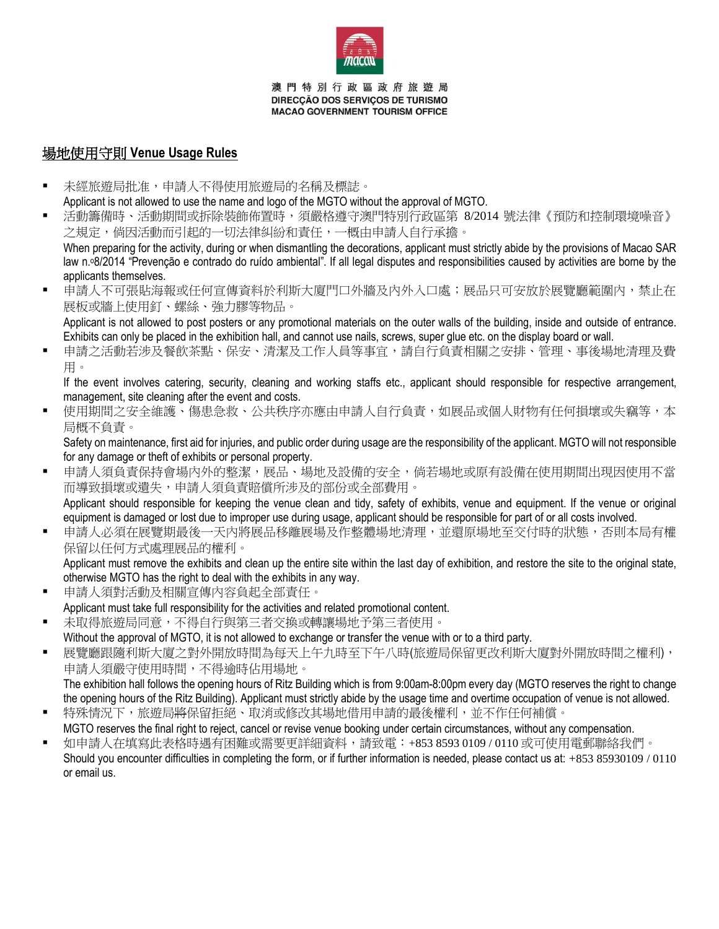

澳門特別行政區政府旅遊局 DIRECCÃO DOS SERVICOS DE TURISMO **MACAO GOVERNMENT TOURISM OFFICE** 

### 場地使用守則 **Venue Usage Rules**

- 未經旅遊局批准,申請人不得使用旅遊局的名稱及標誌。 Applicant is not allowed to use the name and logo of the MGTO without the approval of MGTO.
- 活動籌備時、活動期間或拆除裝飾佈置時,須嚴格遵守澳門特別行政區第 8/2014 號法律《預防和控制環境噪音》 之規定,倘因活動而引起的一切法律糾紛和責任,一概由申請人自行承擔。

When preparing for the activity, during or when dismantling the decorations, applicant must strictly abide by the provisions of Macao SAR law n.º8/2014 "Prevenção e contrado do ruído ambiental". If all legal disputes and responsibilities caused by activities are borne by the applicants themselves.

■ 申請人不可張貼海報或任何宣傳資料於利斯大廈門口外牆及內外入口處;展品只可安放於展覽廳範圍內,禁止在 展板或牆上使用釘、螺絲、強力膠等物品。 Applicant is not allowed to post posters or any promotional materials on the outer walls of the building, inside and outside of entrance.

Exhibits can only be placed in the exhibition hall, and cannot use nails, screws, super glue etc. on the display board or wall.

■ 申請之活動若涉及餐飲茶點、保安、清潔及工作人員等事宜,請自行負責相關之安排、管理、事後場地清理及費 用。

If the event involves catering, security, cleaning and working staffs etc., applicant should responsible for respective arrangement, management, site cleaning after the event and costs.

▪ 使用期間之安全維護、傷患急救、公共秩序亦應由申請人自行負責,如展品或個人財物有任何損壞或失竊等,本 局概不負責。

Safety on maintenance, first aid for injuries, and public order during usage are the responsibility of the applicant. MGTO will not responsible for any damage or theft of exhibits or personal property.

- 申請人須負責保持會場內外的整潔,展品、場地及設備的安全,倘若場地或原有設備在使用期間出現因使用不當 而導致損壞或遺失,申請人須負責賠償所涉及的部份或全部費用。 Applicant should responsible for keeping the venue clean and tidy, safety of exhibits, venue and equipment. If the venue or original
- equipment is damaged or lost due to improper use during usage, applicant should be responsible for part of or all costs involved. 申請人必須在展覽期最後一天內將展品移離展場及作整體場地清理,並還原場地至交付時的狀態,否則本局有權 保留以任何方式處理展品的權利。 Applicant must remove the exhibits and clean up the entire site within the last day of exhibition, and restore the site to the original state,

otherwise MGTO has the right to deal with the exhibits in any way.

- 申請人須對活動及相關宣傳內容負起全部責任。 Applicant must take full responsibility for the activities and related promotional content.
- 未取得旅遊局同意,不得自行與第三者交換或轉讓場地予第三者使用。 Without the approval of MGTO, it is not allowed to exchange or transfer the venue with or to a third party.
- 展覽廳跟隨利斯大廈之對外開放時間為每天上午九時至下午八時(旅遊局保留更改利斯大廈對外開放時間之權利), 申請人須嚴守使用時間,不得逾時佔用場地。

The exhibition hall follows the opening hours of Ritz Building which is from 9:00am-8:00pm every day (MGTO reserves the right to change the opening hours of the Ritz Building). Applicant must strictly abide by the usage time and overtime occupation of venue is not allowed. 特殊情況下,旅遊局將保留拒絕、取消或修改其場地借用申請的最後權利,並不作任何補償。

- MGTO reserves the final right to reject, cancel or revise venue booking under certain circumstances, without any compensation.
- 如申請人在填寫此表格時遇有困難或需要更詳細資料,請致電:+853 8593 0109 / 0110 或可使用電郵聯絡我們。 Should you encounter difficulties in completing the form, or if further information is needed, please contact us at:  $+85385930109/0110$ or email us.